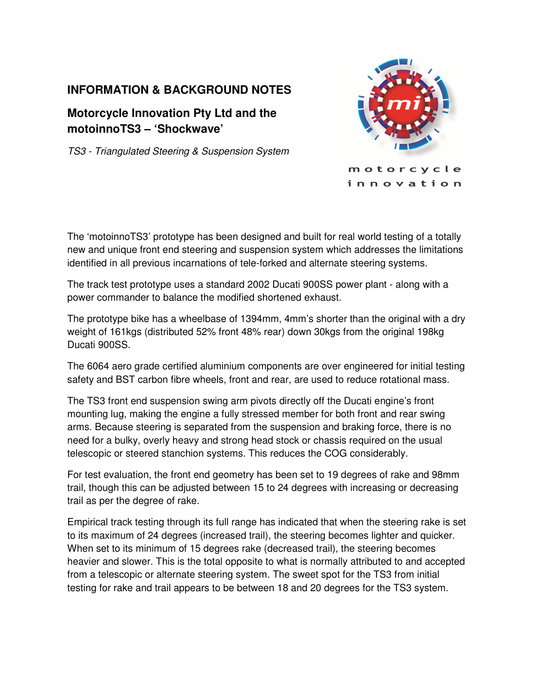## **INFORMATION & BACKGROUND NOTES**

# **Motorcycle Innovation Pty Ltd and the motoinnoTS3 – 'Shockwave'**

TS3 - Triangulated Steering & Suspension System



The 'motoinnoTS3' prototype has been designed and built for real world testing of a totally new and unique front end steering and suspension system which addresses the limitations identified in all previous incarnations of tele-forked and alternate steering systems.

The track test prototype uses a standard 2002 Ducati 900SS power plant - along with a power commander to balance the modified shortened exhaust.

The prototype bike has a wheelbase of 1394mm, 4mm's shorter than the original with a dry weight of 161kgs (distributed 52% front 48% rear) down 30kgs from the original 198kg Ducati 900SS.

The 6064 aero grade certified aluminium components are over engineered for initial testing safety and BST carbon fibre wheels, front and rear, are used to reduce rotational mass.

The TS3 front end suspension swing arm pivots directly off the Ducati engine's front mounting lug, making the engine a fully stressed member for both front and rear swing arms. Because steering is separated from the suspension and braking force, there is no need for a bulky, overly heavy and strong head stock or chassis required on the usual telescopic or steered stanchion systems. This reduces the COG considerably.

For test evaluation, the front end geometry has been set to 19 degrees of rake and 98mm trail, though this can be adjusted between 15 to 24 degrees with increasing or decreasing trail as per the degree of rake.

Empirical track testing through its full range has indicated that when the steering rake is set to its maximum of 24 degrees (increased trail), the steering becomes lighter and quicker. When set to its minimum of 15 degrees rake (decreased trail), the steering becomes heavier and slower. This is the total opposite to what is normally attributed to and accepted from a telescopic or alternate steering system. The sweet spot for the TS3 from initial testing for rake and trail appears to be between 18 and 20 degrees for the TS3 system.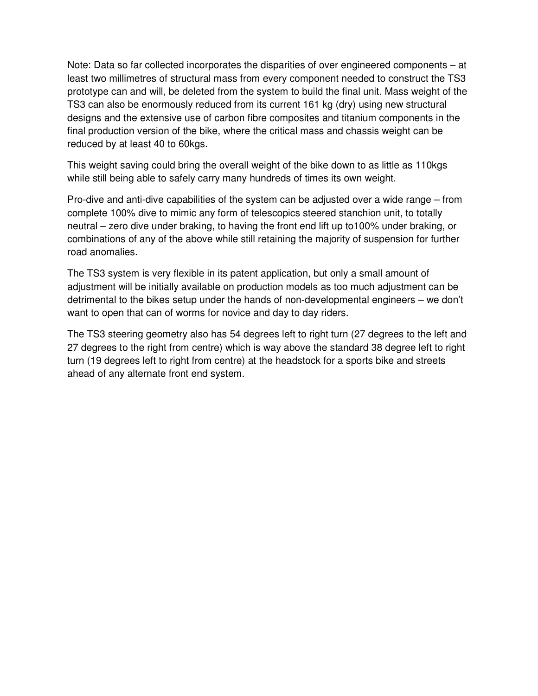Note: Data so far collected incorporates the disparities of over engineered components – at least two millimetres of structural mass from every component needed to construct the TS3 prototype can and will, be deleted from the system to build the final unit. Mass weight of the TS3 can also be enormously reduced from its current 161 kg (dry) using new structural designs and the extensive use of carbon fibre composites and titanium components in the final production version of the bike, where the critical mass and chassis weight can be reduced by at least 40 to 60kgs.

This weight saving could bring the overall weight of the bike down to as little as 110kgs while still being able to safely carry many hundreds of times its own weight.

Pro-dive and anti-dive capabilities of the system can be adjusted over a wide range – from complete 100% dive to mimic any form of telescopics steered stanchion unit, to totally neutral – zero dive under braking, to having the front end lift up to100% under braking, or combinations of any of the above while still retaining the majority of suspension for further road anomalies.

The TS3 system is very flexible in its patent application, but only a small amount of adjustment will be initially available on production models as too much adjustment can be detrimental to the bikes setup under the hands of non-developmental engineers – we don't want to open that can of worms for novice and day to day riders.

The TS3 steering geometry also has 54 degrees left to right turn (27 degrees to the left and 27 degrees to the right from centre) which is way above the standard 38 degree left to right turn (19 degrees left to right from centre) at the headstock for a sports bike and streets ahead of any alternate front end system.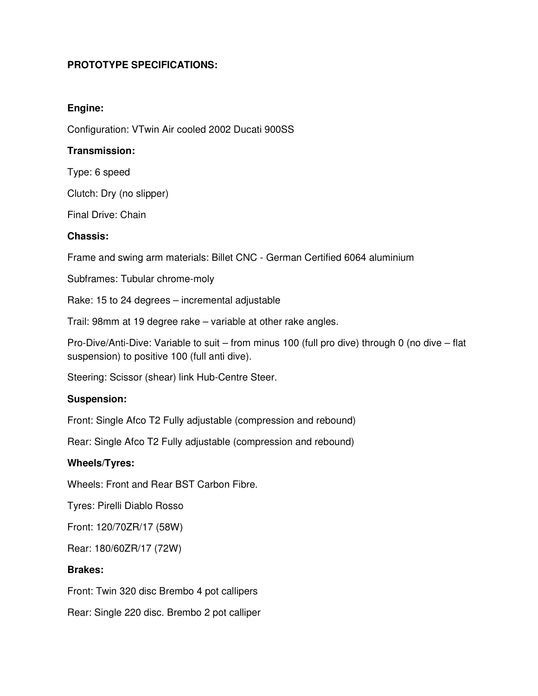## **PROTOTYPE SPECIFICATIONS:**

## **Engine:**

Configuration: VTwin Air cooled 2002 Ducati 900SS

## **Transmission:**

Type: 6 speed

Clutch: Dry (no slipper)

Final Drive: Chain

## **Chassis:**

Frame and swing arm materials: Billet CNC - German Certified 6064 aluminium

Subframes: Tubular chrome-moly

Rake: 15 to 24 degrees – incremental adjustable

Trail: 98mm at 19 degree rake – variable at other rake angles.

Pro-Dive/Anti-Dive: Variable to suit – from minus 100 (full pro dive) through 0 (no dive – flat suspension) to positive 100 (full anti dive).

Steering: Scissor (shear) link Hub-Centre Steer.

#### **Suspension:**

Front: Single Afco T2 Fully adjustable (compression and rebound)

Rear: Single Afco T2 Fully adjustable (compression and rebound)

#### **Wheels/Tyres:**

Wheels: Front and Rear BST Carbon Fibre.

Tyres: Pirelli Diablo Rosso

Front: 120/70ZR/17 (58W)

Rear: 180/60ZR/17 (72W)

#### **Brakes:**

Front: Twin 320 disc Brembo 4 pot callipers

Rear: Single 220 disc. Brembo 2 pot calliper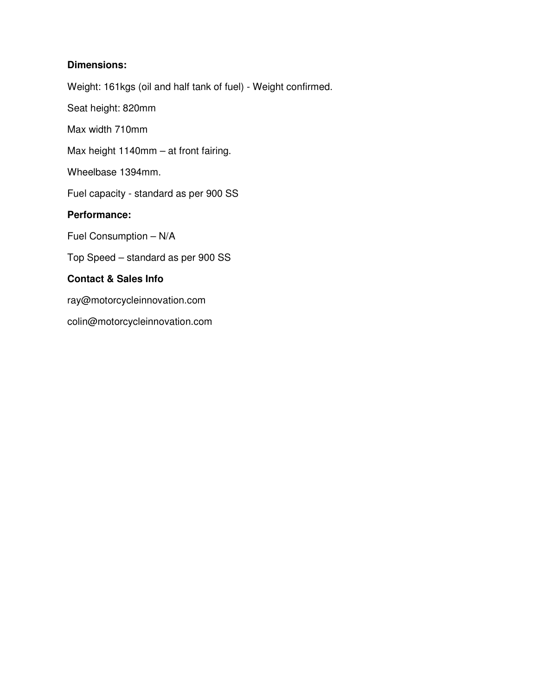## **Dimensions:**

Weight: 161kgs (oil and half tank of fuel) - Weight confirmed.

Seat height: 820mm

Max width 710mm

Max height 1140mm – at front fairing.

Wheelbase 1394mm.

Fuel capacity - standard as per 900 SS

## **Performance:**

Fuel Consumption – N/A

Top Speed – standard as per 900 SS

## **Contact & Sales Info**

ray@motorcycleinnovation.com

colin@motorcycleinnovation.com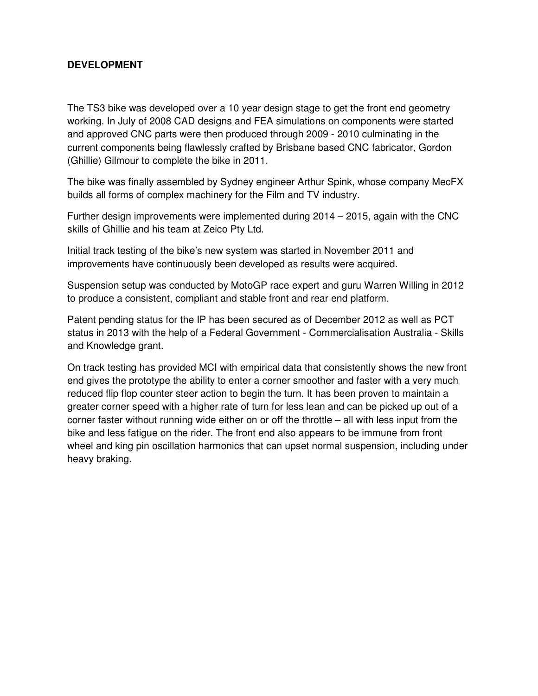## **DEVELOPMENT**

The TS3 bike was developed over a 10 year design stage to get the front end geometry working. In July of 2008 CAD designs and FEA simulations on components were started and approved CNC parts were then produced through 2009 - 2010 culminating in the current components being flawlessly crafted by Brisbane based CNC fabricator, Gordon (Ghillie) Gilmour to complete the bike in 2011.

The bike was finally assembled by Sydney engineer Arthur Spink, whose company MecFX builds all forms of complex machinery for the Film and TV industry.

Further design improvements were implemented during 2014 – 2015, again with the CNC skills of Ghillie and his team at Zeico Pty Ltd.

Initial track testing of the bike's new system was started in November 2011 and improvements have continuously been developed as results were acquired.

Suspension setup was conducted by MotoGP race expert and guru Warren Willing in 2012 to produce a consistent, compliant and stable front and rear end platform.

Patent pending status for the IP has been secured as of December 2012 as well as PCT status in 2013 with the help of a Federal Government - Commercialisation Australia - Skills and Knowledge grant.

On track testing has provided MCI with empirical data that consistently shows the new front end gives the prototype the ability to enter a corner smoother and faster with a very much reduced flip flop counter steer action to begin the turn. It has been proven to maintain a greater corner speed with a higher rate of turn for less lean and can be picked up out of a corner faster without running wide either on or off the throttle – all with less input from the bike and less fatigue on the rider. The front end also appears to be immune from front wheel and king pin oscillation harmonics that can upset normal suspension, including under heavy braking.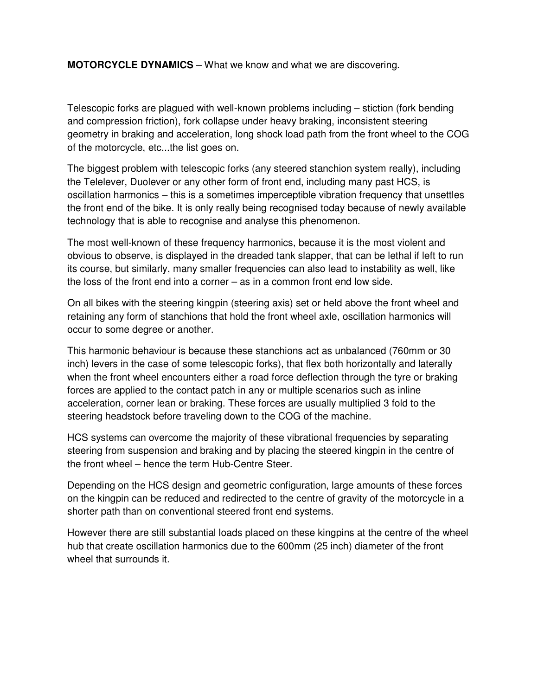**MOTORCYCLE DYNAMICS** – What we know and what we are discovering.

Telescopic forks are plagued with well-known problems including – stiction (fork bending and compression friction), fork collapse under heavy braking, inconsistent steering geometry in braking and acceleration, long shock load path from the front wheel to the COG of the motorcycle, etc...the list goes on.

The biggest problem with telescopic forks (any steered stanchion system really), including the Telelever, Duolever or any other form of front end, including many past HCS, is oscillation harmonics – this is a sometimes imperceptible vibration frequency that unsettles the front end of the bike. It is only really being recognised today because of newly available technology that is able to recognise and analyse this phenomenon.

The most well-known of these frequency harmonics, because it is the most violent and obvious to observe, is displayed in the dreaded tank slapper, that can be lethal if left to run its course, but similarly, many smaller frequencies can also lead to instability as well, like the loss of the front end into a corner – as in a common front end low side.

On all bikes with the steering kingpin (steering axis) set or held above the front wheel and retaining any form of stanchions that hold the front wheel axle, oscillation harmonics will occur to some degree or another.

This harmonic behaviour is because these stanchions act as unbalanced (760mm or 30 inch) levers in the case of some telescopic forks), that flex both horizontally and laterally when the front wheel encounters either a road force deflection through the tyre or braking forces are applied to the contact patch in any or multiple scenarios such as inline acceleration, corner lean or braking. These forces are usually multiplied 3 fold to the steering headstock before traveling down to the COG of the machine.

HCS systems can overcome the majority of these vibrational frequencies by separating steering from suspension and braking and by placing the steered kingpin in the centre of the front wheel – hence the term Hub-Centre Steer.

Depending on the HCS design and geometric configuration, large amounts of these forces on the kingpin can be reduced and redirected to the centre of gravity of the motorcycle in a shorter path than on conventional steered front end systems.

However there are still substantial loads placed on these kingpins at the centre of the wheel hub that create oscillation harmonics due to the 600mm (25 inch) diameter of the front wheel that surrounds it.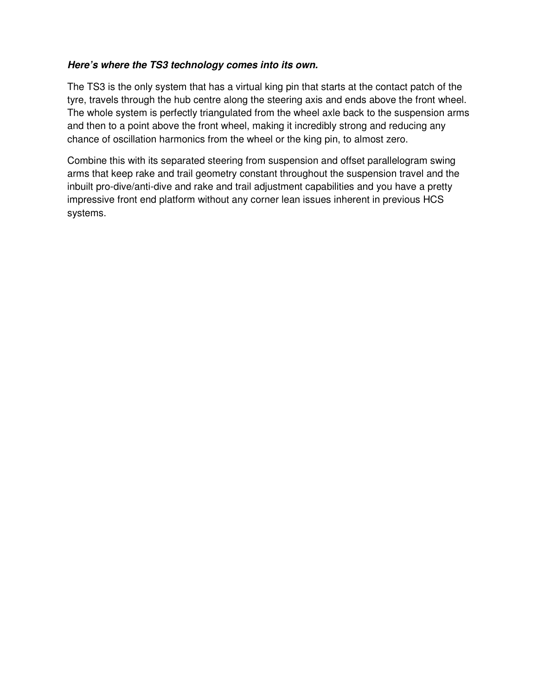## **Here's where the TS3 technology comes into its own.**

The TS3 is the only system that has a virtual king pin that starts at the contact patch of the tyre, travels through the hub centre along the steering axis and ends above the front wheel. The whole system is perfectly triangulated from the wheel axle back to the suspension arms and then to a point above the front wheel, making it incredibly strong and reducing any chance of oscillation harmonics from the wheel or the king pin, to almost zero.

Combine this with its separated steering from suspension and offset parallelogram swing arms that keep rake and trail geometry constant throughout the suspension travel and the inbuilt pro-dive/anti-dive and rake and trail adjustment capabilities and you have a pretty impressive front end platform without any corner lean issues inherent in previous HCS systems.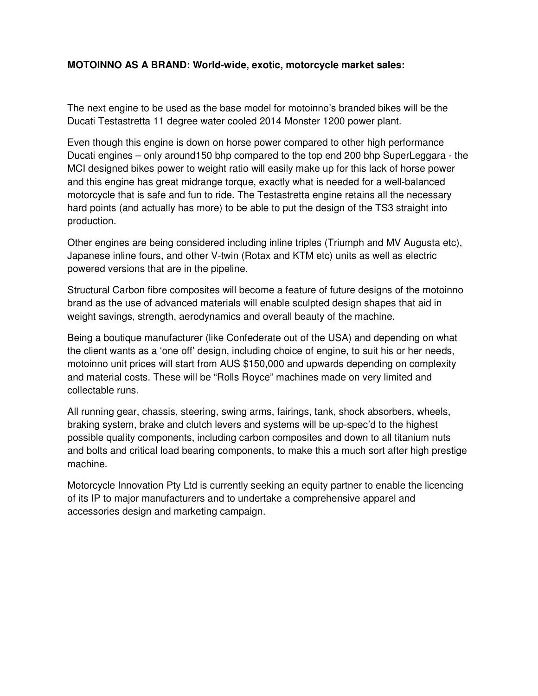## **MOTOINNO AS A BRAND: World-wide, exotic, motorcycle market sales:**

The next engine to be used as the base model for motoinno's branded bikes will be the Ducati Testastretta 11 degree water cooled 2014 Monster 1200 power plant.

Even though this engine is down on horse power compared to other high performance Ducati engines – only around150 bhp compared to the top end 200 bhp SuperLeggara - the MCI designed bikes power to weight ratio will easily make up for this lack of horse power and this engine has great midrange torque, exactly what is needed for a well-balanced motorcycle that is safe and fun to ride. The Testastretta engine retains all the necessary hard points (and actually has more) to be able to put the design of the TS3 straight into production.

Other engines are being considered including inline triples (Triumph and MV Augusta etc), Japanese inline fours, and other V-twin (Rotax and KTM etc) units as well as electric powered versions that are in the pipeline.

Structural Carbon fibre composites will become a feature of future designs of the motoinno brand as the use of advanced materials will enable sculpted design shapes that aid in weight savings, strength, aerodynamics and overall beauty of the machine.

Being a boutique manufacturer (like Confederate out of the USA) and depending on what the client wants as a 'one off' design, including choice of engine, to suit his or her needs, motoinno unit prices will start from AUS \$150,000 and upwards depending on complexity and material costs. These will be "Rolls Royce" machines made on very limited and collectable runs.

All running gear, chassis, steering, swing arms, fairings, tank, shock absorbers, wheels, braking system, brake and clutch levers and systems will be up-spec'd to the highest possible quality components, including carbon composites and down to all titanium nuts and bolts and critical load bearing components, to make this a much sort after high prestige machine.

Motorcycle Innovation Pty Ltd is currently seeking an equity partner to enable the licencing of its IP to major manufacturers and to undertake a comprehensive apparel and accessories design and marketing campaign.